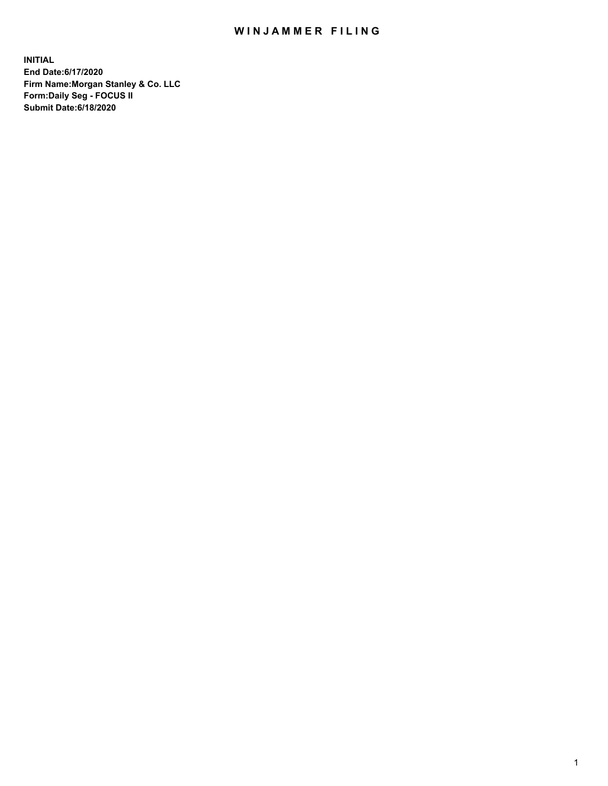## WIN JAMMER FILING

**INITIAL End Date:6/17/2020 Firm Name:Morgan Stanley & Co. LLC Form:Daily Seg - FOCUS II Submit Date:6/18/2020**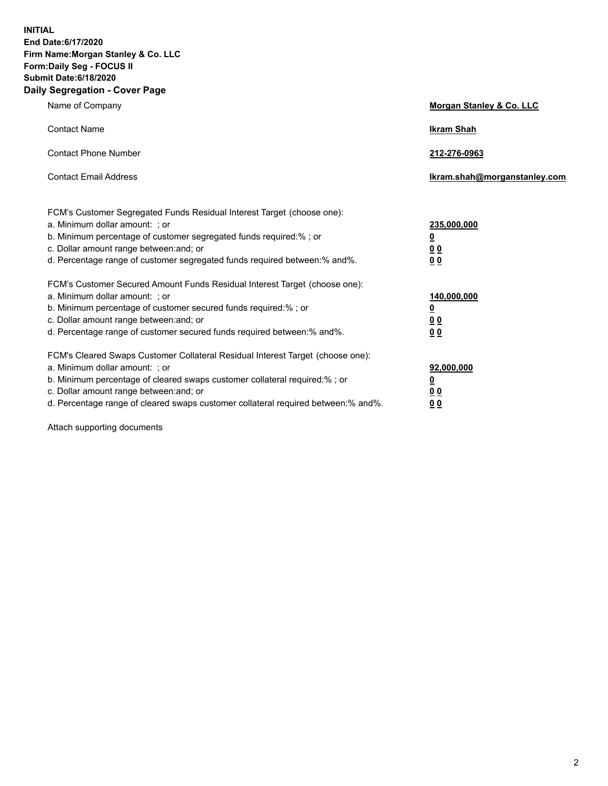**INITIAL End Date:6/17/2020 Firm Name:Morgan Stanley & Co. LLC Form:Daily Seg - FOCUS II Submit Date:6/18/2020 Daily Segregation - Cover Page**

| Name of Company                                                                                                                                                                                                                                                                                                               | Morgan Stanley & Co. LLC                               |
|-------------------------------------------------------------------------------------------------------------------------------------------------------------------------------------------------------------------------------------------------------------------------------------------------------------------------------|--------------------------------------------------------|
| <b>Contact Name</b>                                                                                                                                                                                                                                                                                                           | <b>Ikram Shah</b>                                      |
| <b>Contact Phone Number</b>                                                                                                                                                                                                                                                                                                   | 212-276-0963                                           |
| <b>Contact Email Address</b>                                                                                                                                                                                                                                                                                                  | Ikram.shah@morganstanley.com                           |
| FCM's Customer Segregated Funds Residual Interest Target (choose one):<br>a. Minimum dollar amount: ; or<br>b. Minimum percentage of customer segregated funds required:% ; or<br>c. Dollar amount range between: and; or<br>d. Percentage range of customer segregated funds required between:% and%.                        | 235,000,000<br><u>0</u><br><u>00</u><br>0 <sup>0</sup> |
| FCM's Customer Secured Amount Funds Residual Interest Target (choose one):<br>a. Minimum dollar amount: ; or<br>b. Minimum percentage of customer secured funds required:%; or<br>c. Dollar amount range between: and; or<br>d. Percentage range of customer secured funds required between:% and%.                           | 140,000,000<br><u>0</u><br><u>00</u><br>0 <sub>0</sub> |
| FCM's Cleared Swaps Customer Collateral Residual Interest Target (choose one):<br>a. Minimum dollar amount: ; or<br>b. Minimum percentage of cleared swaps customer collateral required:%; or<br>c. Dollar amount range between: and; or<br>d. Percentage range of cleared swaps customer collateral required between:% and%. | 92,000,000<br><u>0</u><br>0 Q<br>00                    |

Attach supporting documents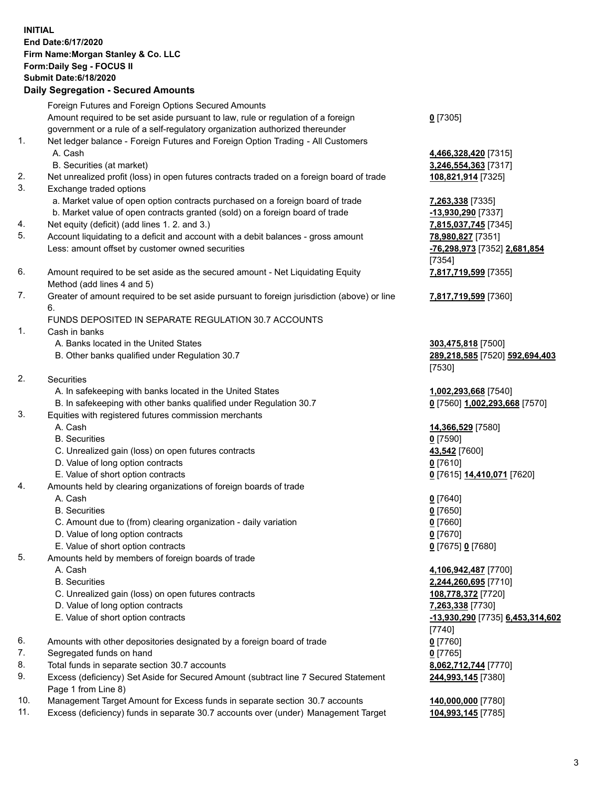## **INITIAL End Date:6/17/2020 Firm Name:Morgan Stanley & Co. LLC Form:Daily Seg - FOCUS II Submit Date:6/18/2020 Daily Segregation - Secured Amounts** Foreign Futures and Foreign Options Secured Amounts Amount required to be set aside pursuant to law, rule or regulation of a foreign government or a rule of a self-regulatory organization authorized thereunder 1. Net ledger balance - Foreign Futures and Foreign Option Trading - All Customers A. Cash **4,466,328,420** [7315] B. Securities (at market) **3,246,554,363** [7317] 2. Net unrealized profit (loss) in open futures contracts traded on a foreign board of trade **108,821,914** [7325] 3. Exchange traded options a. Market value of open option contracts purchased on a foreign board of trade **7,263,338** [7335] b. Market value of open contracts granted (sold) on a foreign board of trade **-13,930,290** [7337] 4. Net equity (deficit) (add lines 1. 2. and 3.) **7,815,037,745** [7345] 5. Account liquidating to a deficit and account with a debit balances - gross amount **78,980,827** [7351] Less: amount offset by customer owned securities **-76,298,973** [7352] **2,681,854** 6. Amount required to be set aside as the secured amount - Net Liquidating Equity Method (add lines 4 and 5) 7. Greater of amount required to be set aside pursuant to foreign jurisdiction (above) or line 6. FUNDS DEPOSITED IN SEPARATE REGULATION 30.7 ACCOUNTS 1. Cash in banks A. Banks located in the United States **303,475,818** [7500] B. Other banks qualified under Regulation 30.7 **289,218,585** [7520] **592,694,403** 2. Securities A. In safekeeping with banks located in the United States **1,002,293,668** [7540] B. In safekeeping with other banks qualified under Regulation 30.7 **0** [7560] **1,002,293,668** [7570] 3. Equities with registered futures commission merchants A. Cash **14,366,529** [7580] B. Securities **0** [7590] C. Unrealized gain (loss) on open futures contracts **43,542** [7600] D. Value of long option contracts **0** [7610] E. Value of short option contracts **0** [7615] **14,410,071** [7620] 4. Amounts held by clearing organizations of foreign boards of trade A. Cash **0** [7640] B. Securities **0** [7650] C. Amount due to (from) clearing organization - daily variation **0** [7660] D. Value of long option contracts **0** [7670] E. Value of short option contracts **0** [7675] **0** [7680] 5. Amounts held by members of foreign boards of trade A. Cash **4,106,942,487** [7700] B. Securities **2,244,260,695** [7710] C. Unrealized gain (loss) on open futures contracts **108,778,372** [7720] D. Value of long option contracts **7,263,338** [7730] E. Value of short option contracts **-13,930,290** [7735] **6,453,314,602**

- 6. Amounts with other depositories designated by a foreign board of trade **0** [7760]
- 7. Segregated funds on hand **0** [7765]
- 8. Total funds in separate section 30.7 accounts **8,062,712,744** [7770]
- 9. Excess (deficiency) Set Aside for Secured Amount (subtract line 7 Secured Statement Page 1 from Line 8)
- 10. Management Target Amount for Excess funds in separate section 30.7 accounts **140,000,000** [7780]
- 11. Excess (deficiency) funds in separate 30.7 accounts over (under) Management Target **104,993,145** [7785]

[7354] **7,817,719,599** [7355] **7,817,719,599** [7360]

**0** [7305]

[7530]

[7740] **244,993,145** [7380]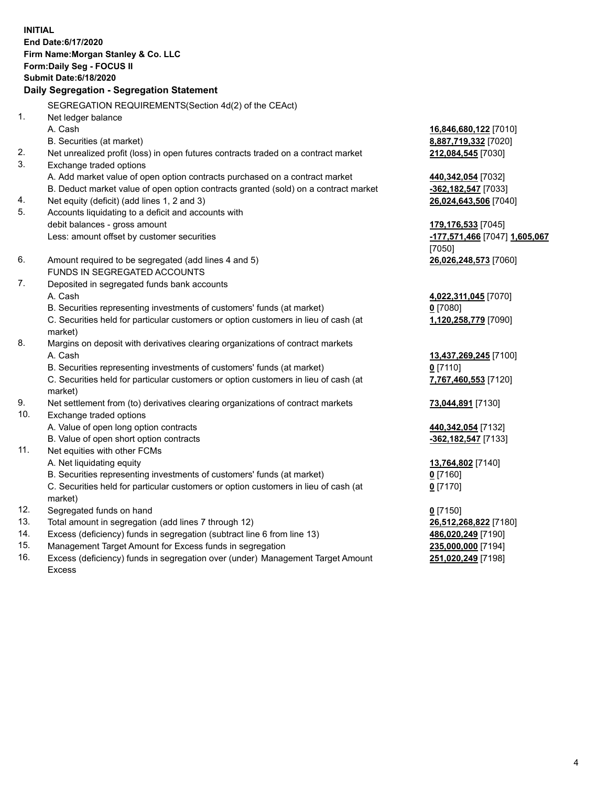**INITIAL End Date:6/17/2020 Firm Name:Morgan Stanley & Co. LLC Form:Daily Seg - FOCUS II Submit Date:6/18/2020 Daily Segregation - Segregation Statement** SEGREGATION REQUIREMENTS(Section 4d(2) of the CEAct) 1. Net ledger balance A. Cash **16,846,680,122** [7010] B. Securities (at market) **8,887,719,332** [7020] 2. Net unrealized profit (loss) in open futures contracts traded on a contract market **212,084,545** [7030] 3. Exchange traded options A. Add market value of open option contracts purchased on a contract market **440,342,054** [7032] B. Deduct market value of open option contracts granted (sold) on a contract market **-362,182,547** [7033] 4. Net equity (deficit) (add lines 1, 2 and 3) **26,024,643,506** [7040] 5. Accounts liquidating to a deficit and accounts with debit balances - gross amount **179,176,533** [7045] Less: amount offset by customer securities **-177,571,466** [7047] **1,605,067** [7050] 6. Amount required to be segregated (add lines 4 and 5) **26,026,248,573** [7060] FUNDS IN SEGREGATED ACCOUNTS 7. Deposited in segregated funds bank accounts A. Cash **4,022,311,045** [7070] B. Securities representing investments of customers' funds (at market) **0** [7080] C. Securities held for particular customers or option customers in lieu of cash (at market) **1,120,258,779** [7090] 8. Margins on deposit with derivatives clearing organizations of contract markets A. Cash **13,437,269,245** [7100] B. Securities representing investments of customers' funds (at market) **0** [7110] C. Securities held for particular customers or option customers in lieu of cash (at market) **7,767,460,553** [7120] 9. Net settlement from (to) derivatives clearing organizations of contract markets **73,044,891** [7130] 10. Exchange traded options A. Value of open long option contracts **440,342,054** [7132] B. Value of open short option contracts **-362,182,547** [7133] 11. Net equities with other FCMs A. Net liquidating equity **13,764,802** [7140] B. Securities representing investments of customers' funds (at market) **0** [7160] C. Securities held for particular customers or option customers in lieu of cash (at market) **0** [7170] 12. Segregated funds on hand **0** [7150] 13. Total amount in segregation (add lines 7 through 12) **26,512,268,822** [7180] 14. Excess (deficiency) funds in segregation (subtract line 6 from line 13) **486,020,249** [7190] 15. Management Target Amount for Excess funds in segregation **235,000,000** [7194]

16. Excess (deficiency) funds in segregation over (under) Management Target Amount Excess

**251,020,249** [7198]